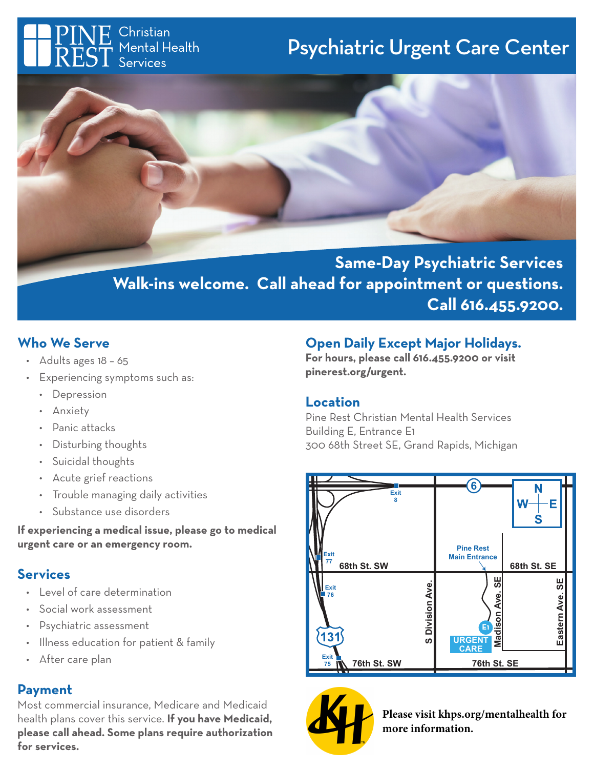Christian Mental Health Services

# Psychiatric Urgent Care Center



**Same-Day Psychiatric Services Walk-ins welcome. Call ahead for appointment or questions. Call 616.455.9200.**

# **Who We Serve**

- Adults ages 18 65
- Experiencing symptoms such as:
	- Depression
	- Anxiety
	- Panic attacks
	- Disturbing thoughts
	- Suicidal thoughts
	- Acute grief reactions
	- Trouble managing daily activities
	- Substance use disorders

**If experiencing a medical issue, please go to medical urgent care or an emergency room.**

## **Services**

- Level of care determination
- Social work assessment
- Psychiatric assessment
- Illness education for patient & family
- After care plan

## **Payment**

Most commercial insurance, Medicare and Medicaid health plans cover this service. **If you have Medicaid, please call ahead. Some plans require authorization for services.**

# **Open Daily Except Major Holidays.**

**For hours, please call 616.455.9200 or visit pinerest.org/urgent.**

### **Location**

Pine Rest Christian Mental Health Services Building E, Entrance E1 300 68th Street SE, Grand Rapids, Michigan





**Please visit khps.org/mentalhealth for more information.**